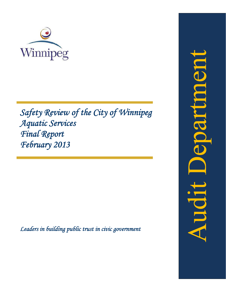

Safety Review of the City of Winnipeg *A Aquati ic Serv vices F Final R Report t February* 2013

Leaders in building public trust in civic government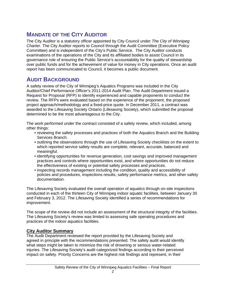# **MANDATE OF THE CITY AUDITOR**

The City Auditor is a statutory officer appointed by City Council under *The City of Winnipeg Charter*. The City Auditor reports to Council through the Audit Committee (Executive Policy Committee) and is independent of the City's Public Service. The City Auditor conducts examinations of the operations of the City and its affiliated bodies to assist Council in its governance role of ensuring the Public Service's accountability for the quality of stewardship over public funds and for the achievement of value for money in City operations. Once an audit report has been communicated to Council, it becomes a public document.

## **AUDIT BACKGROUND**

A safety review of the City of Winnipeg's Aquatics Programs was included in the City Auditor/Chief Performance Officer's 2011-2014 Audit Plan. The Audit Department issued a Request for Proposal (RFP) to identify experienced and capable proponents to conduct the review. The RFPs were evaluated based on the experience of the proponent, the proposed project approach/methodology and a fixed-price quote. In December 2011, a contract was awarded to the Lifesaving Society Ontario (Lifesaving Society), which submitted the proposal determined to be the most advantageous to the City.

The work performed under the contract consisted of a safety review, which included, among other things:

- reviewing the safety processes and practices of both the Aquatics Branch and the Building Services Branch.
- outlining the observations through the use of Lifesaving Society checklists on the extent to which reported service safety results are complete, relevant, accurate, balanced and meaningful.
- identifying opportunities for revenue generation, cost savings and improved management practices and controls where opportunities exist, and where opportunities do not reduce the effectiveness of existing or potential safety processes and practices.
- inspecting records management including the condition, quality and accessibility of policies and procedures, inspections results, safety performance metrics, and other safety documentation.

The Lifesaving Society evaluated the overall operation of aquatics through on-site inspections conducted in each of the thirteen City of Winnipeg indoor aquatic facilities, between January 30 and February 3, 2012. The Lifesaving Society identified a series of recommendations for improvement.

The scope of the review did not include an assessment of the structural integrity of the facilities. The Lifesaving Society's review was limited to assessing safe operating procedures and practices of the indoor aquatics facilities.

## **City Auditor Summary**

The Audit Department reviewed the report provided by the Lifesaving Society and agreed in principle with the recommendations presented. The safety audit would identify what steps might be taken to minimize the risk of drowning or serious water-related injuries. The Lifesaving Society's audit categorized findings according to their perceived impact on safety. Priority Concerns are the highest risk findings and represent, in their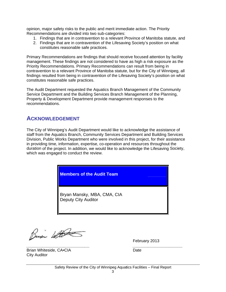opinion, major safety risks to the public and merit immediate action. The Priority Recommendations are divided into two sub-categories: hion, major safety risks to the public and merit immediate action. The Priority<br>:ommendations are divided into two sub-categories:<br>1. Findings that are in contravention to a relevant Province of Manitoba statute, and

- 
- 2. Findings that are in contravention of the Lifesaving Society's position on what constitutes reasonable safe practices.

Primary Recommendations are findings that should receive focused attention by facility management. These findings are not considered to have as high a risk exposure as the Priority Recommendations. Primary Recommendations can result from being in contravention to a relevant Province of Manitoba statute, but for the City of Winnipeg, all findings resulted from being in contravention of the Lifesaving Society's position on what constitutes reasonable safe practices.

The Audit Department requested the Aquatics Branch Management of the Community Service Department and the Building Services Branch Management of the Planning, Property & Development Department provide management responses to the recommendations.

## **ACKNOWLEDGEMENT**

The City of Winnipeg's Audit Department would like to acknowledge the assistance of staff from the Aquatics Branch, Community Services Department and Building Services Division, Public Works Department who were involved in this project, for their assistance in providing time, information, expertise, co-operation and resources throughout the duration of the project. In addition, we would like to acknowledge the Lifesaving Society, which was engaged to conduct the review.

## **Members of the Audit Team**

Bryan Mansky, MBA, CMA, CIA D eputy City A Auditor

Busi White

*\_\_\_\_\_\_\_\_\_\_*

*\_\_\_* 

February 2013

*\_\_\_\_\_\_\_\_\_\_*

*\_\_\_\_\_\_\_*

Brian Whiteside, CA•CIA City Aud itor

*\_\_\_\_\_\_\_\_\_\_\_*

*\_\_\_\_\_\_\_\_*

Date

*\_\_\_\_\_\_\_*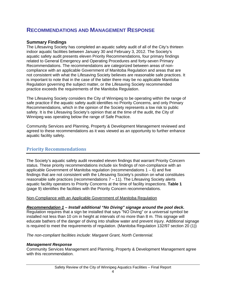## **RECOMMENDATIONS AND MANAGEMENT RESPONSE**

## **Summary Findings**

The Lifesaving Society has completed an aquatic safety audit of all of the City's thirteen indoor aquatic facilities between January 30 and February 3, 2012. The Society's aquatic safety audit presents eleven Priority Recommendations, four primary findings related to General Emergency and Operating Procedures and forty-seven Primary Recommendations. The recommendations are categorized between areas of noncompliance with an applicable Government of Manitoba Regulation and areas that are not consistent with what the Lifesaving Society believes are reasonable safe practices. It is important to note that in the case of the latter there may be no applicable Manitoba Regulation governing the subject matter, or the Lifesaving Society recommended practice exceeds the requirements of the Manitoba Regulation.

The Lifesaving Society considers the City of Winnipeg to be operating within the range of safe practice if the aquatic safety audit identifies no Priority Concerns, and only Primary Recommendations, which in the opinion of the Society represents a low risk to public safety. It is the Lifesaving Society's opinion that at the time of the audit, the City of Winnipeg was operating below the range of Safe Practice.

Community Services and Planning, Property & Development Management reviewed and agreed to these recommendations as it was viewed as an opportunity to further enhance aquatic facility safety.

## **Priority Recommendations**

The Society's aquatic safety audit revealed eleven findings that warrant Priority Concern status. These priority recommendations include six findings of non-compliance with an applicable Government of Manitoba regulation (recommendations  $1 - 6$ ) and five findings that are not consistent with the Lifesaving Society's position on what constitutes reasonable safe practices (recommendations  $7 - 11$ ). The Lifesaving Society alerts aquatic facility operators to Priority Concerns at the time of facility inspections. **Table 1** (page 9) identifies the facilities with the Priority Concern recommendations.

#### Non-Compliance with an Applicable Government of Manitoba Regulation

*Recommendation 1 – Install additional "No Diving" signage around the pool deck.*  Regulation requires that a sign be installed that says "NO Diving" or a universal symbol be installed not less than 10 cm in height at intervals of no more than 8 m. This signage will educate bathers of the danger of diving into shallow water and prevent injury. Additional signage is required to meet the requirements of regulation. (Manitoba Regulation 132/97 section 20 (1))

*The non-compliant facilities include: Margaret Grant, North Centennial.* 

## *Management Response*

Community Services Management and Planning, Property & Development Management agree with this recommendation.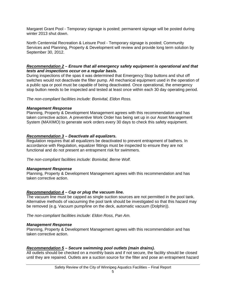Margaret Grant Pool - Temporary signage is posted; permanent signage will be posted during winter 2013 shut down.

North Centennial Recreation & Leisure Pool - Temporary signage is posted; Community Services and Planning, Property & Development will review and provide long term solution by September 30, 2012.

#### *Recommendation 2 – Ensure that all emergency safety equipment is operational and that tests and inspections occur on a regular basis.*

During inspections of the spas it was determined that Emergency Stop buttons and shut off switches would not deactivate the filter pump. All mechanical equipment used in the operation of a public spa or pool must be capable of being deactivated. Once operational, the emergency stop button needs to be inspected and tested at least once within each 30 day operating period.

*The non-compliant facilities include: Bonivital, Eldon Ross.* 

#### *Management Response*

Planning, Property & Development Management agrees with this recommendation and has taken corrective action. A preventive Work Order has being set up in our Asset Management System (MAXIMO) to generate work orders every 30 days to check this safety equipment.

#### *Recommendation 3 – Deactivate all equalizers.*

Regulation requires that all equalizers be deactivated to prevent entrapment of bathers. In accordance with Regulation, equalizer fittings must be inspected to ensure they are not functional and do not present an entrapment risk for swimmers.

*The non-compliant facilities include: Bonivital, Berne Wolf.* 

#### *Management Response*

Planning, Property & Development Management agrees with this recommendation and has taken corrective action.

#### *Recommendation 4 – Cap or plug the vacuum line.*

The vacuum line must be capped as single suction sources are not permitted in the pool tank. Alternative methods of vacuuming the pool tank should be investigated so that this hazard may be removed (e.g. Vacuum pump/line on the deck, automatic vacuum (Dolphin)).

*The non-compliant facilities include: Eldon Ross, Pan Am.*

#### *Management Response*

Planning, Property & Development Management agrees with this recommendation and has taken corrective action.

#### *Recommendation 5 – Secure swimming pool outlets (main drains).*

All outlets should be checked on a monthly basis and if not secure, the facility should be closed until they are repaired. Outlets are a suction source for the filter and pose an entrapment hazard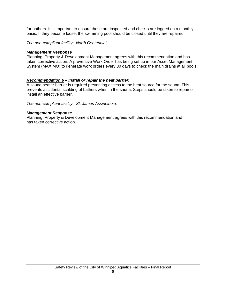for bathers. It is important to ensure these are inspected and checks are logged on a monthly basis. If they become loose, the swimming pool should be closed until they are repaired.

*The non-compliant facility: North Centennial.*

#### *Management Response*

Planning, Property & Development Management agrees with this recommendation and has taken corrective action. A preventive Work Order has being set up in our Asset Management System (MAXIMO) to generate work orders every 30 days to check the main drains at all pools.

#### *Recommendation 6 – Install or repair the heat barrier.*

A sauna heater barrier is required preventing access to the heat source for the sauna. This prevents accidental scalding of bathers when in the sauna. Steps should be taken to repair or install an effective barrier.

*The non-compliant facility: St. James Assinniboia.* 

#### *Management Response*

Planning, Property & Development Management agrees with this recommendation and has taken corrective action.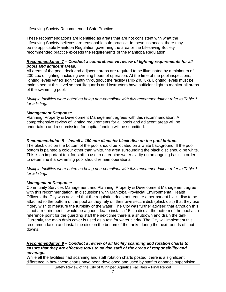#### Lifesaving Society Recommended Safe Practice

These recommendations are identified as areas that are not consistent with what the Lifesaving Society believes are reasonable safe practice. In these instances, there may be no applicable Manitoba Regulation governing the area or the Lifesaving Society recommended practice exceeds the requirements of the Manitoba Regulation.

#### *Recommendation 7 – Conduct a comprehensive review of lighting requirements for all pools and adjacent areas.*

All areas of the pool, deck and adjacent areas are required to be illuminated by a minimum of 200 Lux of lighting, including evening hours of operation. At the time of the pool inspections, lighting levels varied significantly throughout the facility (140-240 lux). Lighting levels must be maintained at this level so that lifeguards and instructors have sufficient light to monitor all areas of the swimming pool.

*Multiple facilities were noted as being non-compliant with this recommendation; refer to Table 1 for a listing.* 

#### *Management Response*

Planning, Property & Development Management agrees with this recommendation. A comprehensive review of lighting requirements for all pools and adjacent areas will be undertaken and a submission for capital funding will be submitted.

#### *Recommendation 8 – Install a 150 mm diameter black disc on the pool bottom.*

The black disc on the bottom of the pool should be located on a white background. If the pool bottom is painted a colour other than white, the area surrounding the black disc should be white. This is an important tool for staff to use to determine water clarity on an ongoing basis in order to determine if a swimming pool should remain operational.

*Multiple facilities were noted as being non-compliant with this recommendation; refer to Table 1 for a listing.* 

#### *Management Response*

Community Services Management and Planning, Property & Development Management agree with this recommendation. In discussions with Manitoba Provincial Environmental Health Officers, the City was advised that the regulation does not require a permanent black disc to be attached to the bottom of the pool as they rely on their own secchi disk (black disc) that they use if they wish to measure the turbidity of the water. The City was further advised that although this is not a requirement it would be a good idea to install a 15 cm disc at the bottom of the pool as a reference point for the guarding staff the next time there is a shutdown and drain the tank. Currently, the main drain cover is used as a test for water clarity. The City will implement this recommendation and install the disc on the bottom of the tanks during the next rounds of shut downs.

#### *Recommendation 9 – Conduct a review of all facility scanning and rotation charts to ensure that they are effective tools to advise staff of the areas of responsibility and coverage.*

While all the facilities had scanning and staff rotation charts posted, there is a significant difference in how these charts have been developed and used by staff to enhance supervision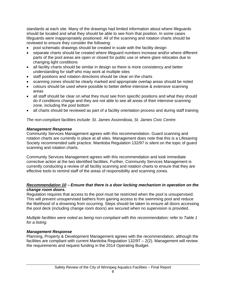standards at each site. Many of the drawings had limited information about where lifeguards should be located and what they should be able to see from that position. In some cases lifeguards were inappropriately positioned. All of the scanning and rotation charts should be reviewed to ensure they consider the following:

- pool schematic drawings should be created in scale with the facility design
- separate charts should be created where lifeguard numbers increase and/or where different parts of the pool areas are open or closed for public use or where glare relocates due to changing light conditions
- all facility charts should be similar in design so there is more consistency and better understanding for staff who may work at multiple sites
- staff positions and rotation directions should be clear on the charts
- scanning zones should be clearly marked and appropriate overlap areas should be noted
- colours should be used where possible to better define intensive & extensive scanning areas
- all staff should be clear on what they must see from specific positions and what they should do if conditions change and they are not able to see all areas of their intensive scanning zone, including the pool bottom
- all charts should be reviewed as part of a facility orientation process and during staff training

#### *The non-compliant facilities include: St. James Assinniboia, St. James Civic Centre.*

#### *Management Response*

Community Services Management agrees with this recommendation. Guard scanning and rotation charts are currently in place at all sites. Management does note that this is a Lifesaving Society recommended safe practice. Manitoba Regulation 132/97 is silent on the topic of guard scanning and rotation charts.

Community Services Management agrees with this recommendation and took immediate corrective action at the two identified facilities. Further, Community Services Management is currently conducting a review of all facility scanning and rotation charts to ensure that they are effective tools to remind staff of the areas of responsibility and scanning zones.

#### *Recommendation 10 – Ensure that there is a door locking mechanism in operation on the change room doors.*

Regulation requires that access to the pool must be restricted when the pool is unsupervised. This will prevent unsupervised bathers from gaining access to the swimming pool and reduce the likelihood of a drowning from occurring. Steps should be taken to ensure all doors accessing the pool deck (including change room doors) are secured when no supervision is provided.

*Multiple facilities were noted as being non-compliant with this recommendation; refer to Table 1 for a listing.* 

#### *Management Response*

Planning, Property & Development Management agrees with the recommendation, although the facilities are compliant with current Manitoba Regulation 132/97 – 2(2). Management will review the requirements and request funding in the 2014 Operating Budget.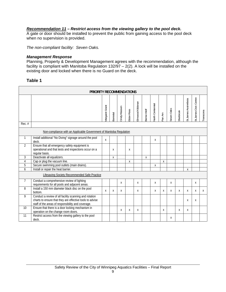#### *Recommendation 11 – Restrict access from the viewing gallery to the pool deck.*

A gate or door should be installed to prevent the public from gaining access to the pool deck when no supervision is provided.

*The non-compliant facility: Seven Oaks.* 

#### *Management Response*

Planning, Property & Development Management agrees with the recommendation, although the facility is compliant with Manitoba Regulation 132/97 – 2(2). A lock will be installed on the existing door and locked when there is no Guard on the deck.

## **Table 1**

| PRIORITY RECOMMENDATIONS                                            |                                                                                                                                                                          |                 |                  |               |            |                  |                           |                         |        |            |           |                       |                       |              |
|---------------------------------------------------------------------|--------------------------------------------------------------------------------------------------------------------------------------------------------------------------|-----------------|------------------|---------------|------------|------------------|---------------------------|-------------------------|--------|------------|-----------|-----------------------|-----------------------|--------------|
|                                                                     |                                                                                                                                                                          | Vlargaret Grant | <b>Bonivital</b> | Cindy Klassen | Eldon Ross | Elmwood Kildonan | Bernie Wolf               | <b>Vorth Centennial</b> | Pan Am | Seven Oaks | Sherbrook | St. James Assinniboia | St.James Civic Centre | Transcona    |
| $Rec.$ #                                                            |                                                                                                                                                                          |                 |                  |               |            |                  |                           |                         |        |            |           |                       |                       |              |
| Non-compliance with an Applicable Government of Manitoba Regulation |                                                                                                                                                                          |                 |                  |               |            |                  |                           |                         |        |            |           |                       |                       |              |
| 1                                                                   | Install additional "No Diving" signage around the pool<br>deck.                                                                                                          | X               |                  |               |            |                  |                           | X                       |        |            |           |                       |                       |              |
| 2                                                                   | Ensure that all emergency safety equipment is<br>operational and that tests and inspections occur on a<br>regular basis.                                                 |                 | X                |               | X          |                  |                           |                         |        |            |           |                       |                       |              |
| 3                                                                   | Deactivate all equalizers.                                                                                                                                               |                 | $\mathsf{x}$     |               |            |                  | $\boldsymbol{\mathsf{X}}$ |                         |        |            |           |                       |                       |              |
| $\overline{4}$                                                      | Cap or plug the vacuum line.                                                                                                                                             |                 |                  |               | X          |                  |                           |                         | X      |            |           |                       |                       |              |
| 5                                                                   | Secure swimming pool outlets (main drains).                                                                                                                              |                 |                  |               |            |                  |                           | Χ                       |        |            |           |                       |                       |              |
| 6                                                                   | Install or repair the heat barrier.                                                                                                                                      |                 |                  |               |            |                  |                           |                         |        |            |           | X                     |                       |              |
|                                                                     | Lifesaving Society Recommended Safe Practice                                                                                                                             |                 |                  |               |            |                  |                           |                         |        |            |           |                       |                       |              |
| $\overline{7}$                                                      | Conduct a comprehensive review of lighting<br>requirements for all pools and adjacent areas.                                                                             |                 |                  | X             |            | X                |                           | X                       |        | X          |           |                       | $\mathsf{X}$          |              |
| 8                                                                   | Install a 150 mm diameter black disc on the pool<br>bottom.                                                                                                              | X               | X                | X             |            | X                |                           | X                       | X      | X          | X         | X                     | X                     | $\mathsf{X}$ |
| 9                                                                   | Conduct a review of all facility scanning and rotation<br>charts to ensure that they are effective tools to advise<br>staff of the areas of responsibility and coverage. |                 |                  |               |            |                  |                           |                         |        |            |           | X                     | X                     |              |
| 10                                                                  | Ensure that there is a door locking mechanism in<br>operation on the change room doors.                                                                                  |                 |                  | X             | X          | X                |                           |                         | X      |            | X         | X                     |                       |              |
| 11                                                                  | Restrict access from the viewing gallery to the pool<br>deck.                                                                                                            |                 |                  |               |            |                  |                           |                         |        | X          |           |                       |                       |              |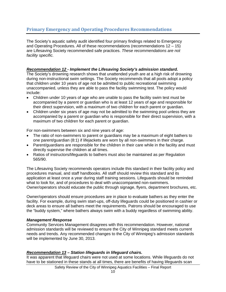## **Primary Emergency and Operating Procedures Recommendations**

The Society's aquatic safety audit identified four primary findings related to Emergency and Operating Procedures. All of these recommendations (recommendations 12 – 15) are Lifesaving Society recommended safe practices. *These recommendations are not facility specific.*

#### *Recommendation 12 - Implement the Lifesaving Society's admission standard.*

The Society's drowning research shows that unattended youth are at a high risk of drowning during non-instructional swim settings. The Society recommends that all pools adopt a policy that children under 10 years of age not be admitted to public recreational swimming unaccompanied, unless they are able to pass the facility swimming test. The policy would include:

- Children under 10 years of age who are unable to pass the facility swim test must be accompanied by a parent or guardian who is at least 12 years of age and responsible for their direct supervision, with a maximum of two children for each parent or guardian.
- Children under six years of age may not be admitted to the swimming pool unless they are accompanied by a parent or guardian who is responsible for their direct supervision, with a maximum of two children for each parent or guardian.

For non-swimmers between six and nine years of age:

- The ratio of non-swimmers to parent or guardians may be a maximum of eight bathers to one parent/guardian (8:1) if lifejackets are worn by all non-swimmers in their charge.
- Parent/guardians are responsible for the children in their care while in the facility and must directly supervise the children at all times.
- Ratios of instructors/lifeguards to bathers must also be maintained as per Regulation 565/90.

The Lifesaving Society recommends operators include this standard in their facility policy and procedures manual, and staff handbooks. All staff should review this standard and its application at least once a year during staff training sessions. Lifeguards should be reminded what to look for, and of procedures to deal with unaccompanied non-swimmers. Owner/operators should educate the public through signage, flyers, department brochures, etc.

Owner/operators should ensure procedures are in place to evaluate bathers as they enter the facility. For example, during swim start-ups, off-duty lifeguards could be positioned in cashier or deck areas to ensure all bathers meet the requirements. Patrons should be encouraged to use the "buddy system," where bathers always swim with a buddy regardless of swimming ability.

#### *Management Response*

Community Services Management disagrees with this recommendation. However, national admission standards will be reviewed to ensure the City of Winnipeg standard meets current needs and trends. Any recommended changes to the City of Winnipeg's admission standards will be implemented by June 30, 2013.

#### *Recommendation 13 – Station lifeguards in lifeguard chairs.*

It was apparent that lifeguard chairs were not used at some locations. While lifeguards do not have to be stationed in these stands at all times, there are benefits of having lifeguards scan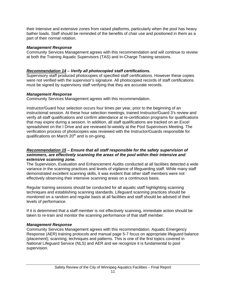their intensive and extensive zones from raised platforms, particularly when the pool has heavy bather loads. Staff should be reminded of the benefits of chair use and positioned in them as a part of their normal rotation.

#### *Management Response*

Community Services Management agrees with this recommendation and will continue to review at both the Training Aquatic Supervisors (TAS) and In-Charge Training sessions.

## *Recommendation 14 – Verify all photocopied staff certifications.*

Supervisory staff produced photocopies of specified staff certifications. However these copies were not verified with the supervisor's signature. All photocopied records of staff certifications must be signed by supervisory staff verifying that they are accurate records.

## *Management Response*

Community Services Management agrees with this recommendation.

Instructor/Guard hour selection occurs four times per year, prior to the beginning of an instructional session. At these hour selection meetings, trained Instructor/Guard 3's review and verify all staff qualifications and confirm attendance at re-certification programs for qualifications that may expire during a session. In addition, all staff qualifications are tracked on an Excel spreadsheet on the I Drive and are reviewed bi-weekly at the Pool Supervisors Meeting. The verification process of photocopies was reviewed with the Instructor/Guards responsible for qualifications on March 20<sup>th</sup> and is on-going.

#### *Recommendation 15 – Ensure that all staff responsible for the safety supervision of swimmers, are effectively scanning the areas of the pool within their intensive and extensive scanning zone.*

The Supervision, Evaluation and Enhancement Audits conducted at all facilities detected a wide variance in the scanning practices and levels of vigilance of lifeguarding staff. While many staff demonstrated excellent scanning skills, it was evident that other staff members were not effectively observing their intensive scanning areas on a continuous basis.

Regular training sessions should be conducted for all aquatic staff highlighting scanning techniques and establishing scanning standards. Lifeguard scanning practices should be monitored on a random and regular basis at all facilities and staff should be advised of their levels of performance.

If it is determined that a staff member is not effectively scanning, immediate action should be taken to re-train and monitor the scanning performance of that staff member.

## *Management Response*

Community Services Management agrees with this recommendation. Aquatic Emergency Response (AER) training protocols and manual page 5-7 focus on appropriate lifeguard balance (placement); scanning; techniques and patterns. This is one of the first topics covered in National Lifeguard Service (NLS) and AER and we recognize it is fundamental to pool supervision.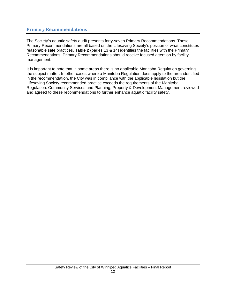## **Primary Recommendations**

The Society's aquatic safety audit presents forty-seven Primary Recommendations. These Primary Recommendations are all based on the Lifesaving Society's position of what constitutes reasonable safe practices. **Table 2** (pages 13 & 14) identifies the facilities with the Primary Recommendations. Primary Recommendations should receive focused attention by facility management.

It is important to note that in some areas there is no applicable Manitoba Regulation governing the subject matter. In other cases where a Manitoba Regulation does apply to the area identified in the recommendation, the City was in compliance with the applicable legislation but the Lifesaving Society recommended practice exceeds the requirements of the Manitoba Regulation. Community Services and Planning, Property & Development Management reviewed and agreed to these recommendations to further enhance aquatic facility safety.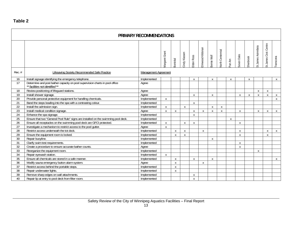## **Table 2**

| <b>PRIMARY RECOMMENDATIONS</b> |                                                                                                                 |                      |                       |                           |               |                  |                  |                           |                         |                  |              |                  |                      |                       |              |
|--------------------------------|-----------------------------------------------------------------------------------------------------------------|----------------------|-----------------------|---------------------------|---------------|------------------|------------------|---------------------------|-------------------------|------------------|--------------|------------------|----------------------|-----------------------|--------------|
|                                |                                                                                                                 |                      | <b>Aargaret Grant</b> | <b>Bonivital</b>          | Cindy Klassen | Eldon Ross       | Elmwood Kildonan | Bernie Wolf               | <b>Vorth Centennial</b> | Pan Am           | Seven Oaks   | Sherbrook        | St. James Asinniboia | St.James Civic Centre | Transcona    |
| Rec. $#$                       | Lifesaving Society Recommended Safe Practice                                                                    | Management Agreement |                       |                           |               |                  |                  |                           |                         |                  |              |                  |                      |                       |              |
| 16                             | Install signage identifying the emergency telephone.                                                            | Implemented          |                       |                           |               | X                |                  | X                         |                         | $\boldsymbol{X}$ |              | $\boldsymbol{X}$ |                      |                       | $\mathsf{X}$ |
| 17                             | Determine and post bather capacity on pool supervision charts in pool office<br>** facilities not identified ** | Agree                |                       |                           |               |                  |                  |                           |                         |                  |              |                  |                      |                       |              |
| 18                             | Review positioning of lifeguard stations.                                                                       | Agree                |                       |                           |               |                  |                  |                           |                         |                  |              |                  | X                    | X                     |              |
| 19                             | Install shower signage.                                                                                         | Agree                |                       |                           |               | $\mathsf{X}$     |                  | X                         |                         |                  | $\mathsf{X}$ | X                | X                    | X                     | X            |
| $\overline{20}$                | Provide personal protective equipment for handling chemicals.                                                   | Implemented          | X                     |                           |               |                  |                  |                           |                         |                  |              |                  |                      |                       | $\mathsf{X}$ |
| 21                             | Band the steps leading into the spa with a contrasting colour.                                                  | Implemented          |                       |                           |               | $\boldsymbol{X}$ |                  |                           |                         |                  |              |                  |                      |                       |              |
| $\overline{22}$                | Install the admission sign.                                                                                     | Implemented          | X                     |                           | $\mathsf{X}$  |                  |                  | $\boldsymbol{\mathsf{X}}$ | X                       |                  |              |                  |                      |                       |              |
| 23                             | Install medical condition signage.                                                                              | Agree                | $\mathsf{X}$          | X                         |               | $\boldsymbol{X}$ | X                | $\boldsymbol{\mathsf{X}}$ | X                       |                  | $\mathsf{X}$ |                  | X                    | X                     | $\mathsf{X}$ |
| 24                             | Enhance the spa signage.                                                                                        | Implemented          |                       |                           |               | $\boldsymbol{X}$ |                  |                           |                         |                  |              |                  |                      |                       |              |
| $\overline{25}$                | Ensure that two "General Pool Rule" signs are installed on the swimming pool deck.                              | Implemented          |                       |                           |               |                  |                  |                           |                         | $\boldsymbol{X}$ |              |                  |                      |                       |              |
| $\overline{26}$                | Ensure all receptacles on the swimming pool deck are GFCI protected.                                            | Implemented          | X                     |                           | X             | $\boldsymbol{X}$ |                  |                           |                         |                  | X            |                  |                      |                       |              |
| 27                             | Investigate a mechanism to restrict access to the pool gutter.                                                  | Agree                | $\mathsf{X}$          |                           |               |                  |                  |                           |                         |                  |              |                  |                      |                       |              |
| 28                             | Restrict access underneath the tot dock.                                                                        | Implemented          |                       | X                         | X             |                  | X                |                           |                         |                  | $\mathsf{X}$ |                  |                      | X                     | $\mathsf{X}$ |
| 29                             | Ensure the equipment room is locked.                                                                            | Implemented          |                       | $\mathsf{X}$              | X             |                  |                  |                           |                         |                  | $\mathsf{X}$ |                  |                      | X                     |              |
| 30                             | Repair buoyline.                                                                                                | Implemented          |                       |                           |               |                  |                  | X                         |                         |                  |              |                  |                      |                       |              |
| 31                             | Clarify swim test requirements.                                                                                 | Implemented          |                       |                           |               |                  |                  |                           |                         |                  | $\mathsf{x}$ |                  |                      |                       |              |
| 32                             | Create a procedure to ensure accurate bather counts.                                                            | Agree                |                       |                           |               |                  |                  |                           |                         |                  | $\mathsf{X}$ |                  |                      |                       |              |
| 33                             | Reorganize the equipment room.                                                                                  | Implemented          |                       |                           |               |                  |                  |                           |                         |                  |              |                  | X                    |                       |              |
| 34                             | Repair eyewash station.                                                                                         | Implemented          | X                     |                           |               |                  |                  |                           |                         |                  |              |                  |                      |                       |              |
| 35                             | Ensure all chemicals are stored in a safe manner.                                                               | Implemented          |                       | $\mathsf{X}$              |               | $\mathsf{X}$     |                  | $\mathsf{X}$              |                         |                  |              |                  |                      |                       | X            |
| 36                             | Modify sauna emergency button alarm system.                                                                     | Agree                |                       | $\boldsymbol{\mathsf{X}}$ |               |                  | X                |                           |                         |                  |              |                  |                      |                       |              |
| $\overline{37}$                | Restrict access behind the portable steps.                                                                      | Implemented          |                       | X                         |               |                  |                  |                           |                         |                  |              |                  |                      |                       |              |
| 38                             | Repair underwater lights.                                                                                       | Implemented          |                       | $\mathsf{x}$              |               |                  |                  |                           |                         |                  |              |                  |                      |                       |              |
| 39                             | Remove sharp edges on wall attachments.                                                                         | Implemented          |                       |                           |               | $\boldsymbol{X}$ |                  |                           |                         |                  |              |                  |                      |                       |              |
| 40                             | Repair lip at entry to pool deck from filter room.                                                              | Implemented          |                       |                           |               | $\mathsf{X}$     |                  |                           |                         |                  |              |                  |                      |                       |              |